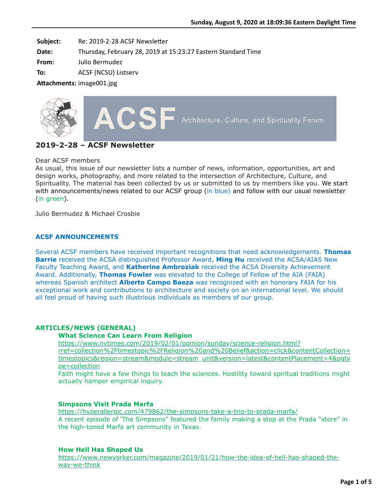Subject: Re: 2019-2-28 ACSF Newsletter

**Date:** Thursday, February 28, 2019 at 15:23:27 Eastern Standard Time

**From:** Julio Bermudez

**To:** ACSF (NCSU) Listserv

Attachments: image001.jpg



# **2019-2-28 – ACSF Newsletter**

### Dear ACSF members

As usual, this issue of our newsletter lists a number of news, information, opportunities, art and design works, photography, and more related to the intersection of Architecture, Culture, and Spirituality. The material has been collected by us or submitted to us by members like you. We start with announcements/news related to our ACSF group (in blue) and follow with our usual newsletter (in green).

Julio Bermudez & Michael Crosbie

## **ACSF ANNOUNCEMENTS**

Several ACSF members have received important recognitions that need acknowledgements. **Thomas Barrie** received the ACSA distinguished Professor Award, **Ming Hu** received the ACSA/AIAS New Faculty Teaching Award, and **Katherine Ambroziak** received the ACSA Diversity Achievement Award. Additionally, **Thomas Fowler** was elevated to the College of Fellow of the AIA (FAIA) whereas Spanish architect **Alberto Campo Baeza** was recognized with an honorary FAIA for his exceptional work and contributions to architecture and society on an international level. We should all feel proud of having such illustrious individuals as members of our group.

### **ARTICLES/NEWS (GENERAL)**

### **What Science Can Learn From Religion**

https://www.nytimes.com/2019/02/01/opinion/sunday/science-religion.html? [rref=collection%2Ftimestopic%2FReligion%20and%20Belief&action=click&contentCollection=](https://www.nytimes.com/2019/02/01/opinion/sunday/science-religion.html?rref=collection%2Ftimestopic%2FReligion%20and%20Belief&action=click&contentCollection=timestopics®ion=stream&module=stream_unit&version=latest&contentPlacement=4&pgtype=collection) timestopics&region=stream&module=stream\_unit&version=latest&contentPlacement=4&pgty pe=collection

Faith might have a few things to teach the sciences. Hostility toward spiritual traditions might actually hamper empirical inquiry.

### **Simpsons Visit Prada Marfa**

<https://hyperallergic.com/479862/the-simpsons-take-a-trip-to-prada-marfa/> A recent episode of 'The Simpsons" featured the family making a stop at the Prada "store" in the high-toned Marfa art community in Texas.

### **How Hell Has Shaped Us**

[https://www.newyorker.com/magazine/2019/01/21/how-the-idea-of-hell-has-shaped-the](https://www.newyorker.com/magazine/2019/01/21/how-the-idea-of-hell-has-shaped-the-way-we-think)way-we-think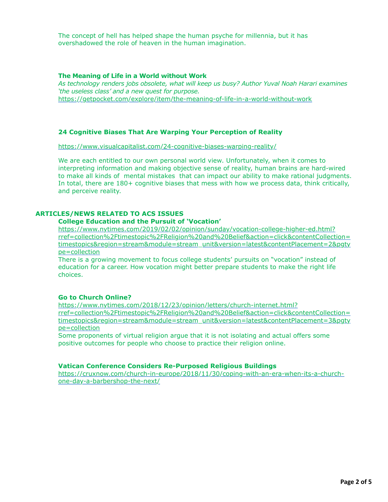The concept of hell has helped shape the human psyche for millennia, but it has overshadowed the role of heaven in the human imagination.

#### **The Meaning of Life in a World without Work**

*As technology renders jobs obsolete, what will keep us busy? Author Yuval Noah Harari examines 'the useless class' and a new quest for purpose.* <https://getpocket.com/explore/item/the-meaning-of-life-in-a-world-without-work>

## **24 Cognitive Biases That Are Warping Your Perception of Reality**

<https://www.visualcapitalist.com/24-cognitive-biases-warping-reality/>

We are each entitled to our own personal world view. Unfortunately, when it comes to interpreting information and making objective sense of reality, human brains are hard-wired to make all kinds of mental mistakes that can impact our ability to make rational judgments. In total, there are 180+ cognitive biases that mess with how we process data, think critically, and perceive reality.

### **ARTICLES/NEWS RELATED TO ACS ISSUES**

#### **College Education and the Pursuit of 'Vocation'**

https://www.nytimes.com/2019/02/02/opinion/sunday/vocation-college-higher-ed.html? [rref=collection%2Ftimestopic%2FReligion%20and%20Belief&action=click&contentCollection=](https://www.nytimes.com/2019/02/02/opinion/sunday/vocation-college-higher-ed.html?rref=collection%2Ftimestopic%2FReligion%20and%20Belief&action=click&contentCollection=timestopics®ion=stream&module=stream_unit&version=latest&contentPlacement=2&pgtype=collection) timestopics&region=stream&module=stream\_unit&version=latest&contentPlacement=2&pgty pe=collection

There is a growing movement to focus college students' pursuits on "vocation" instead of education for a career. How vocation might better prepare students to make the right life choices.

### **Go to Church Online?**

https://www.nytimes.com/2018/12/23/opinion/letters/church-internet.html? [rref=collection%2Ftimestopic%2FReligion%20and%20Belief&action=click&contentCollection=](https://www.nytimes.com/2018/12/23/opinion/letters/church-internet.html?rref=collection%2Ftimestopic%2FReligion%20and%20Belief&action=click&contentCollection=timestopics®ion=stream&module=stream_unit&version=latest&contentPlacement=3&pgtype=collection) timestopics&region=stream&module=stream\_unit&version=latest&contentPlacement=3&pgty pe=collection

Some proponents of virtual religion argue that it is not isolating and actual offers some positive outcomes for people who choose to practice their religion online.

## **Vatican Conference Considers Re-Purposed Religious Buildings**

[https://cruxnow.com/church-in-europe/2018/11/30/coping-with-an-era-when-its-a-church](https://cruxnow.com/church-in-europe/2018/11/30/coping-with-an-era-when-its-a-church-one-day-a-barbershop-the-next/)one-day-a-barbershop-the-next/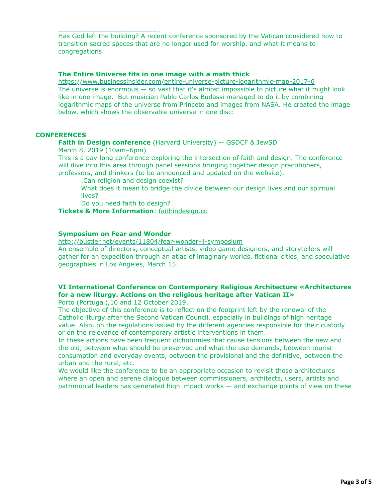Has God left the building? A recent conference sponsored by the Vatican considered how to transition sacred spaces that are no longer used for worship, and what it means to congregations.

## **The Entire Universe fits in one image with a math thick**

<https://www.businessinsider.com/entire-universe-picture-logarithmic-map-2017-6> The universe is enormous  $-$  so vast that it's almost impossible to picture what it might look like in one image. But musician Pablo Carlos Budassi managed to do it by combining logarithmic maps of the universe from Princeto and images from NASA. He created the image below, which shows the observable universe in one disc:

## **CONFERENCES**

## **Faith in Design conference** (Harvard University) -- GSDCF & JewSD

March 8, 2019 (10am–6pm)

[one-day-a-barbershop-the-next/](https://cruxnow.com/church-in-europe/2018/11/30/coping-with-an-era-when-its-a-church-one-day-a-barbershop-the-next/)

This is a day-long conference exploring the intersection of faith and design. The conference will dive into this area through panel sessions bringing together design practitioners, professors, and thinkers (to be announced and updated on the website).

.Can religion and design coexist?

What does it mean to bridge the divide between our design lives and our spiritual lives?

Do you need faith to design?

**Tickets & More Information**: [faithindesign.co](http://faithindesign.co/)

## **Symposium on Fear and Wonder**

<http://bustler.net/events/11804/fear-wonder-ii-symposium>

An ensemble of directors, conceptual artists, video game designers, and storytellers will gather for an expedition through an atlas of imaginary worlds, fictional cities, and speculative geographies in Los Angeles, March 15.

# **VI International Conference on Contemporary Religious Architecture «Architectures for a new liturgy. Actions on the religious heritage after Vatican II»**

Porto (Portugal),10 and 12 October 2019.

The objective of this conference is to reflect on the footprint left by the renewal of the Catholic liturgy after the Second Vatican Council, especially in buildings of high heritage value. Also, on the regulations issued by the different agencies responsible for their custody or on the relevance of contemporary artistic interventions in them.

In these actions have been frequent dichotomies that cause tensions between the new and the old, between what should be preserved and what the use demands, between tourist consumption and everyday events, between the provisional and the definitive, between the urban and the rural, etc.

We would like the conference to be an appropriate occasion to revisit those architectures where an open and serene dialogue between commissioners, architects, users, artists and patrimonial leaders has generated high impact works — and exchange points of view on these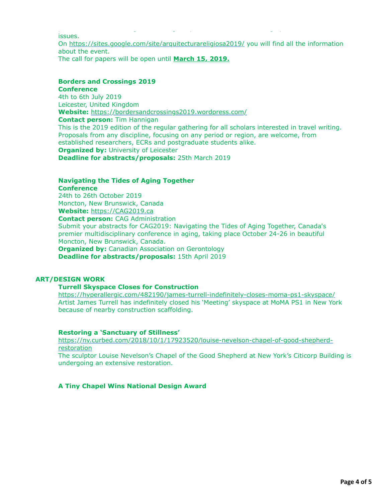issues. On<https://sites.google.com/site/arquitecturareligiosa2019/> you will find all the information about the event. The call for papers will be open until **March 15, 2019.**

patrimonial leaders has generated high impact works — and exchange points of view on these

#### **Borders and Crossings 2019 Conference**

4th to 6th July 2019 Leicester, United Kingdom **Website:** <https://bordersandcrossings2019.wordpress.com/> **Contact person:** Tim Hannigan This is the 2019 edition of the regular gathering for all scholars interested in travel writing. Proposals from any discipline, focusing on any period or region, are welcome, from established researchers, ECRs and postgraduate students alike. **Organized by: University of Leicester Deadline for abstracts/proposals:** 25th March 2019

## **Navigating the Tides of Aging Together Conference**

24th to 26th October 2019 Moncton, New Brunswick, Canada **Website:** [https://CAG2019.ca](https://cag2019.ca/) **Contact person:** CAG Administration Submit your abstracts for CAG2019: Navigating the Tides of Aging Together, Canada's premier multidisciplinary conference in aging, taking place October 24-26 in beautiful Moncton, New Brunswick, Canada. **Organized by:** Canadian Association on Gerontology **Deadline for abstracts/proposals:** 15th April 2019

# **ART/DESIGN WORK**

# **Turrell Skyspace Closes for Construction**

<https://hyperallergic.com/482190/james-turrell-indefinitely-closes-moma-ps1-skyspace/> Artist James Turrell has indefinitely closed his 'Meeting' skyspace at MoMA PS1 in New York because of nearby construction scaffolding.

# **Restoring a 'Sanctuary of Stillness'**

[https://ny.curbed.com/2018/10/1/17923520/louise-nevelson-chapel-of-good-shepherd](https://ny.curbed.com/2018/10/1/17923520/louise-nevelson-chapel-of-good-shepherd-restoration)restoration

The sculptor Louise Nevelson's Chapel of the Good Shepherd at New York's Citicorp Building is undergoing an extensive restoration.

# **A Tiny Chapel Wins National Design Award**